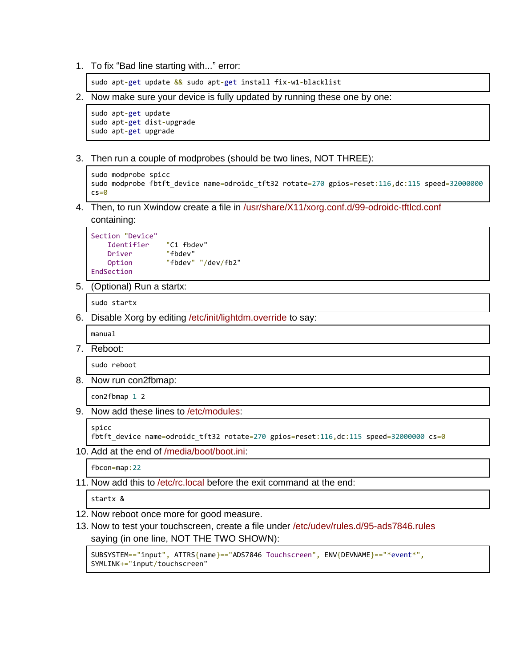1. To fix "Bad line starting with..." error:

sudo apt-get update && sudo apt-get install fix-w1-blacklist

2. Now make sure your device is fully updated by running these one by one:

```
sudo apt-get update
sudo apt-get dist-upgrade
sudo apt-get upgrade
```
3. Then run a couple of modprobes (should be two lines, NOT THREE):

```
sudo modprobe spicc
sudo modprobe fbtft_device name=odroidc_tft32 rotate=270 gpios=reset:116,dc:115 speed=32000000
c s = 0
```
4. Then, to run Xwindow create a file in /usr/share/X11/xorg.conf.d/99-odroidc-tftlcd.conf containing:

```
Section "Device"
    Identifier "C1 fbdev"
    Driver "fbdev"
    Option "fbdev" "/dev/fb2"
EndSection
```
5. (Optional) Run a startx:

sudo startx

6. Disable Xorg by editing /etc/init/lightdm.override to say:

manual

7. Reboot:

sudo reboot

8. Now run con2fbmap:

con2fbmap 1 2

9. Now add these lines to /etc/modules:

```
spicc
```
fbtft\_device name=odroidc\_tft32 rotate=270 gpios=reset:116,dc:115 speed=32000000 cs=0

10. Add at the end of /media/boot/boot.ini:

fbcon=map:22

11. Now add this to /etc/rc.local before the exit command at the end:

startx &

- 12. Now reboot once more for good measure.
- 13. Now to test your touchscreen, create a file under /etc/udev/rules.d/95-ads7846.rules saying (in one line, NOT THE TWO SHOWN):

SUBSYSTEM=="input", ATTRS{name}=="ADS7846 Touchscreen", ENV{DEVNAME}=="\*event\*", SYMLINK+="input/touchscreen"